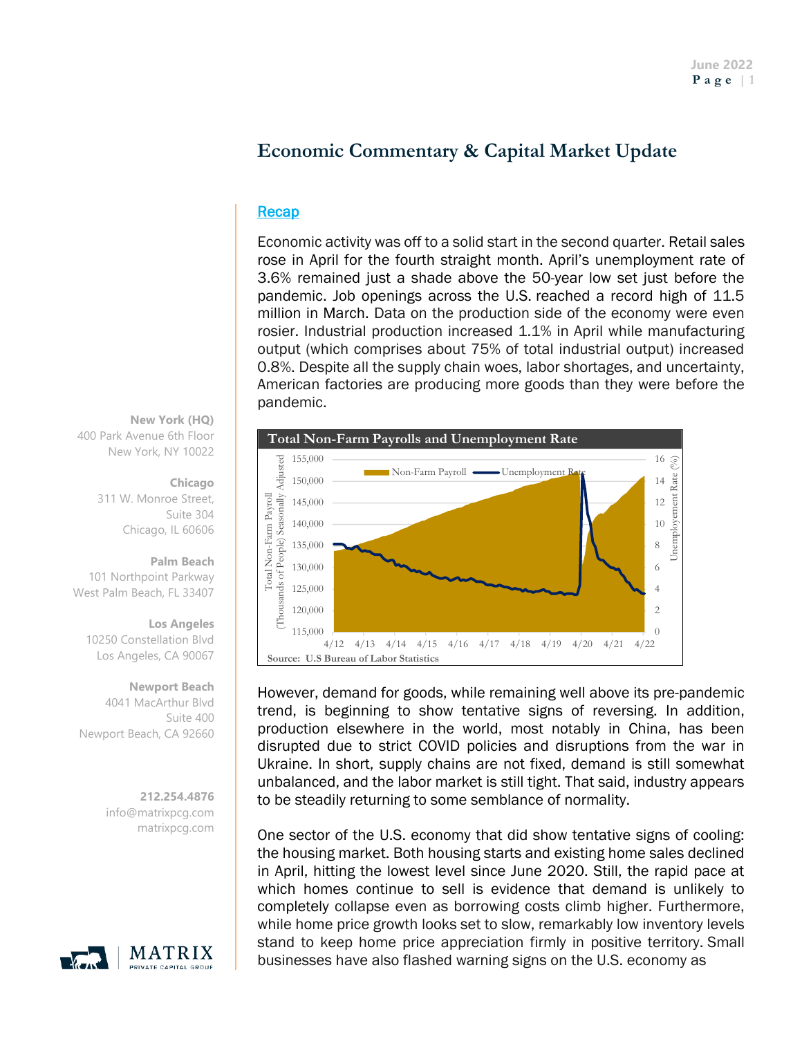# **Economic Commentary & Capital Market Update**

## **Recap**

Economic activity was off to a solid start in the second quarter. Retail sales rose in April for the fourth straight month. April's unemployment rate of 3.6% remained just a shade above the 50-year low set just before the pandemic. Job openings across the U.S. reached a record high of 11.5 million in March. Data on the production side of the economy were even rosier. Industrial production increased 1.1% in April while manufacturing output (which comprises about 75% of total industrial output) increased 0.8%. Despite all the supply chain woes, labor shortages, and uncertainty, American factories are producing more goods than they were before the pandemic.



However, demand for goods, while remaining well above its pre-pandemic trend, is beginning to show tentative signs of reversing. In addition, production elsewhere in the world, most notably in China, has been disrupted due to strict COVID policies and disruptions from the war in Ukraine. In short, supply chains are not fixed, demand is still somewhat unbalanced, and the labor market is still tight. That said, industry appears to be steadily returning to some semblance of normality.

One sector of the U.S. economy that did show tentative signs of cooling: the housing market. Both housing starts and existing home sales declined in April, hitting the lowest level since June 2020. Still, the rapid pace at which homes continue to sell is evidence that demand is unlikely to completely collapse even as borrowing costs climb higher. Furthermore, while home price growth looks set to slow, remarkably low inventory levels stand to keep home price appreciation firmly in positive territory. Small businesses have also flashed warning signs on the U.S. economy as

**New York (HQ)**  400 Park Avenue 6th Floor New York, NY 10022

> **Chicago** 311 W. Monroe Street, Suite 304 Chicago, IL 60606

**Palm Beach**  101 Northpoint Parkway West Palm Beach, FL 33407

**Los Angeles**  10250 Constellation Blvd Los Angeles, CA 90067

**Newport Beach** 4041 MacArthur Blvd Suite 400 Newport Beach, CA 92660

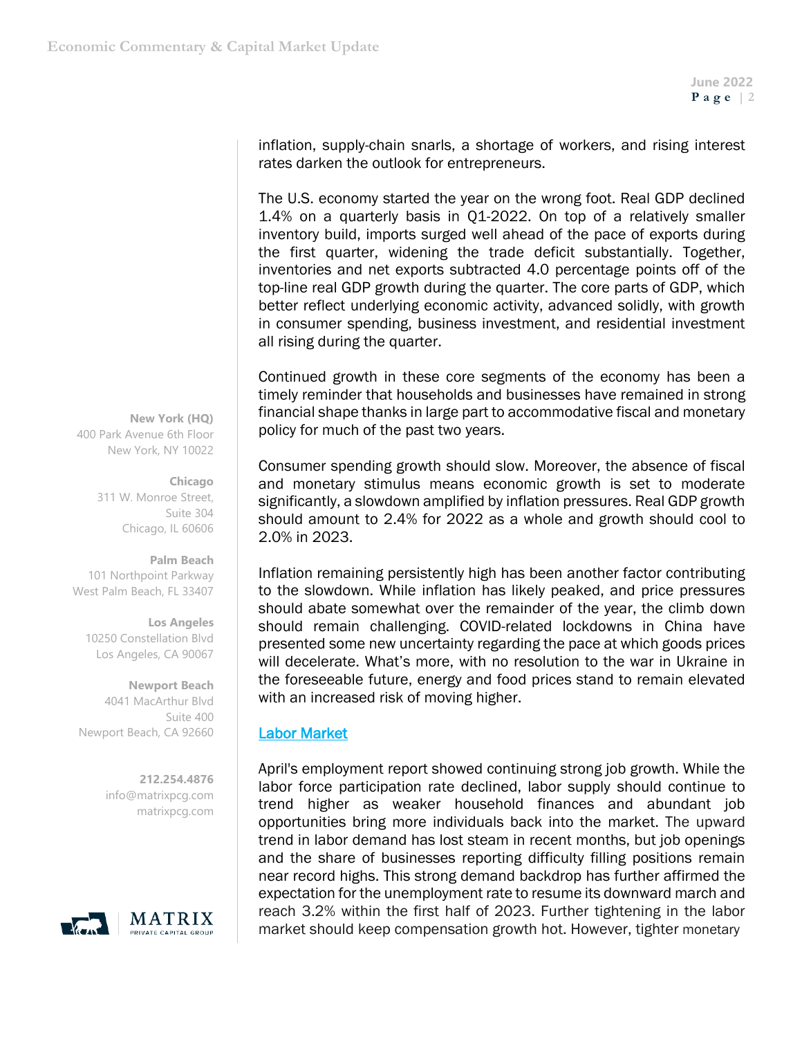inflation, supply-chain snarls, a shortage of workers, and rising interest rates darken the outlook for entrepreneurs.

The U.S. economy started the year on the wrong foot. Real GDP declined 1.4% on a quarterly basis in Q1-2022. On top of a relatively smaller inventory build, imports surged well ahead of the pace of exports during the first quarter, widening the trade deficit substantially. Together, inventories and net exports subtracted 4.0 percentage points off of the top-line real GDP growth during the quarter. The core parts of GDP, which better reflect underlying economic activity, advanced solidly, with growth in consumer spending, business investment, and residential investment all rising during the quarter.

Continued growth in these core segments of the economy has been a timely reminder that households and businesses have remained in strong financial shape thanks in large part to accommodative fiscal and monetary policy for much of the past two years.

Consumer spending growth should slow. Moreover, the absence of fiscal and monetary stimulus means economic growth is set to moderate significantly, a slowdown amplified by inflation pressures. Real GDP growth should amount to 2.4% for 2022 as a whole and growth should cool to 2.0% in 2023.

Inflation remaining persistently high has been another factor contributing to the slowdown. While inflation has likely peaked, and price pressures should abate somewhat over the remainder of the year, the climb down should remain challenging. COVID-related lockdowns in China have presented some new uncertainty regarding the pace at which goods prices will decelerate. What's more, with no resolution to the war in Ukraine in the foreseeable future, energy and food prices stand to remain elevated with an increased risk of moving higher.

## Labor Market

April's employment report showed continuing strong job growth. While the labor force participation rate declined, labor supply should continue to trend higher as weaker household finances and abundant job opportunities bring more individuals back into the market. The upward trend in labor demand has lost steam in recent months, but job openings and the share of businesses reporting difficulty filling positions remain near record highs. This strong demand backdrop has further affirmed the expectation for the unemployment rate to resume its downward march and reach 3.2% within the first half of 2023. Further tightening in the labor market should keep compensation growth hot. However, tighter monetary

**New York (HQ)**  400 Park Avenue 6th Floor New York, NY 10022

> **Chicago** 311 W. Monroe Street, Suite 304 Chicago, IL 60606

**Palm Beach**  101 Northpoint Parkway West Palm Beach, FL 33407

**Los Angeles**  10250 Constellation Blvd Los Angeles, CA 90067

**Newport Beach** 4041 MacArthur Blvd Suite 400 Newport Beach, CA 92660

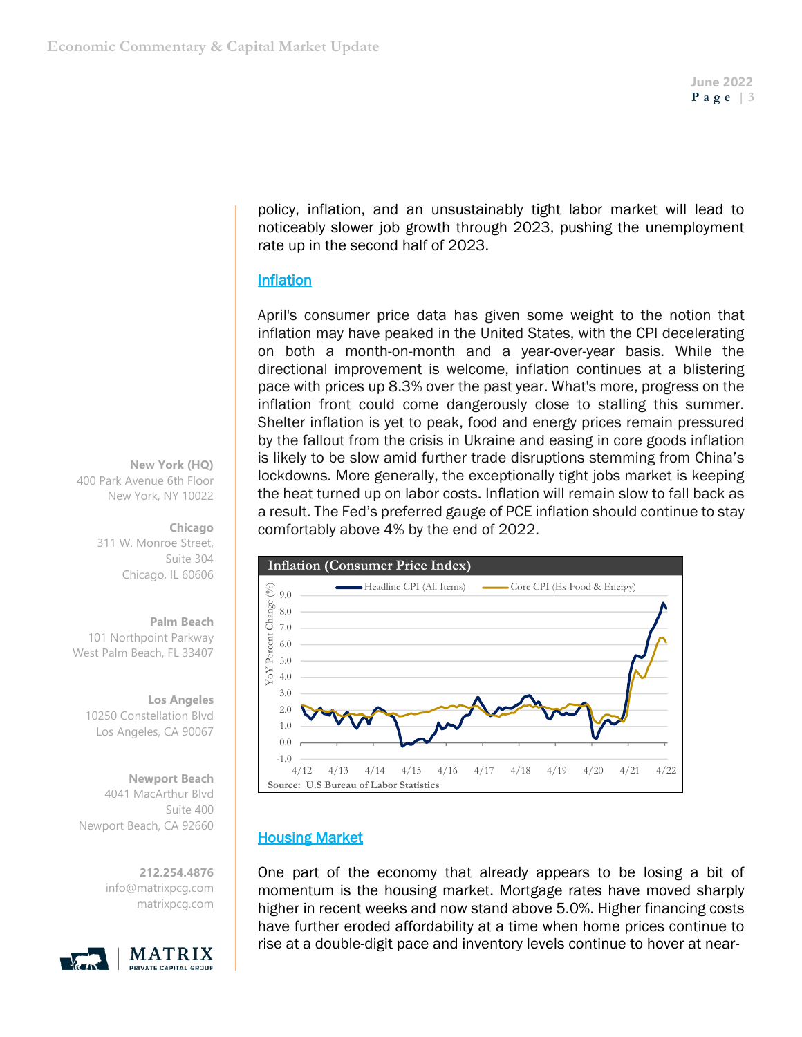policy, inflation, and an unsustainably tight labor market will lead to noticeably slower job growth through 2023, pushing the unemployment rate up in the second half of 2023.

### Inflation

April's consumer price data has given some weight to the notion that inflation may have peaked in the United States, with the CPI decelerating on both a month-on-month and a year-over-year basis. While the directional improvement is welcome, inflation continues at a blistering pace with prices up 8.3% over the past year. What's more, progress on the inflation front could come dangerously close to stalling this summer. Shelter inflation is yet to peak, food and energy prices remain pressured by the fallout from the crisis in Ukraine and easing in core goods inflation is likely to be slow amid further trade disruptions stemming from China's lockdowns. More generally, the exceptionally tight jobs market is keeping the heat turned up on labor costs. Inflation will remain slow to fall back as a result. The Fed's preferred gauge of PCE inflation should continue to stay comfortably above 4% by the end of 2022.



## Housing Market

One part of the economy that already appears to be losing a bit of momentum is the housing market. Mortgage rates have moved sharply higher in recent weeks and now stand above 5.0%. Higher financing costs have further eroded affordability at a time when home prices continue to rise at a double-digit pace and inventory levels continue to hover at near-

**New York (HQ)**  400 Park Avenue 6th Floor New York, NY 10022

#### **Chicago**

311 W. Monroe Street, Suite 304 Chicago, IL 60606

#### **Palm Beach**

101 Northpoint Parkway West Palm Beach, FL 33407

**Los Angeles**  10250 Constellation Blvd Los Angeles, CA 90067

#### **Newport Beach** 4041 MacArthur Blvd Suite 400

Newport Beach, CA 92660

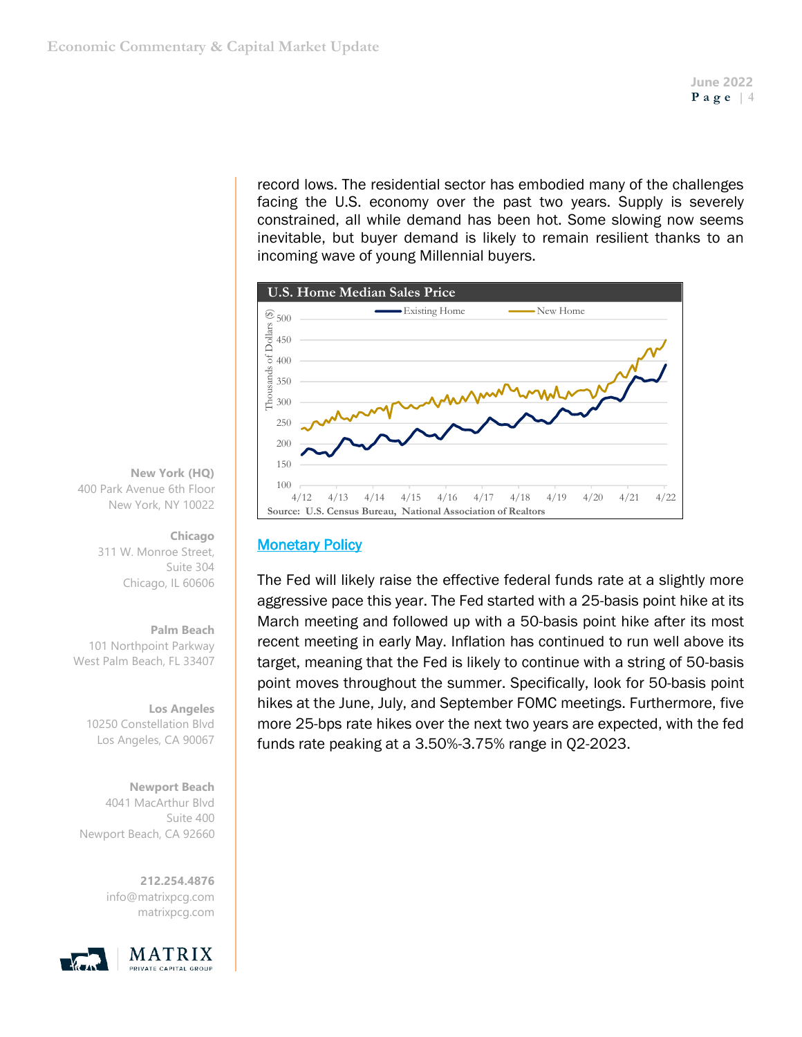record lows. The residential sector has embodied many of the challenges facing the U.S. economy over the past two years. Supply is severely constrained, all while demand has been hot. Some slowing now seems inevitable, but buyer demand is likely to remain resilient thanks to an incoming wave of young Millennial buyers.



## **Monetary Policy**

The Fed will likely raise the effective federal funds rate at a slightly more aggressive pace this year. The Fed started with a 25-basis point hike at its March meeting and followed up with a 50-basis point hike after its most recent meeting in early May. Inflation has continued to run well above its target, meaning that the Fed is likely to continue with a string of 50-basis point moves throughout the summer. Specifically, look for 50-basis point hikes at the June, July, and September FOMC meetings. Furthermore, five more 25-bps rate hikes over the next two years are expected, with the fed funds rate peaking at a 3.50%-3.75% range in Q2-2023.

**New York (HQ)**  400 Park Avenue 6th Floor New York, NY 10022

> **Chicago** 311 W. Monroe Street, Suite 304 Chicago, IL 60606

**Palm Beach**  101 Northpoint Parkway West Palm Beach, FL 33407

**Los Angeles**  10250 Constellation Blvd Los Angeles, CA 90067

**Newport Beach** 4041 MacArthur Blvd Suite 400 Newport Beach, CA 92660



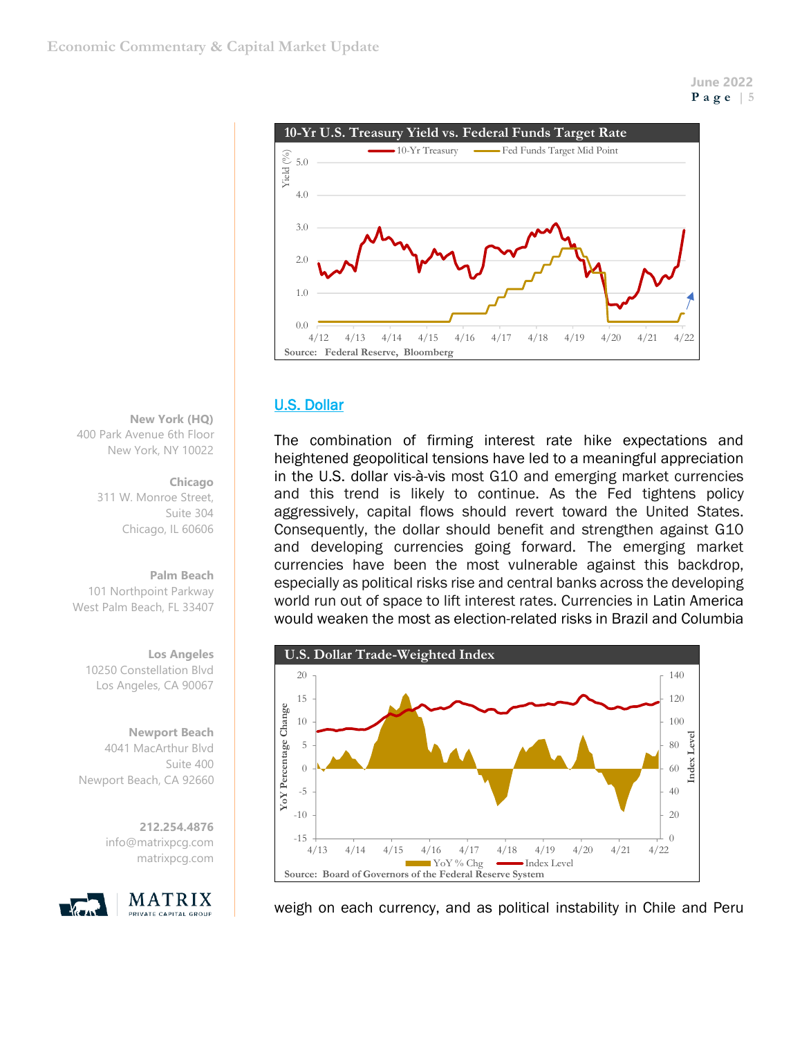

## U.S. Dollar

The combination of firming interest rate hike expectations and heightened geopolitical tensions have led to a meaningful appreciation in the U.S. dollar vis-à-vis most G10 and emerging market currencies and this trend is likely to continue. As the Fed tightens policy aggressively, capital flows should revert toward the United States. Consequently, the dollar should benefit and strengthen against G10 and developing currencies going forward. The emerging market currencies have been the most vulnerable against this backdrop, especially as political risks rise and central banks across the developing world run out of space to lift interest rates. Currencies in Latin America would weaken the most as election-related risks in Brazil and Columbia



weigh on each currency, and as political instability in Chile and Peru

**New York (HQ)**  400 Park Avenue 6th Floor New York, NY 10022

#### **Chicago**

311 W. Monroe Street, Suite 304 Chicago, IL 60606

#### **Palm Beach**

101 Northpoint Parkway West Palm Beach, FL 33407

**Los Angeles** 

10250 Constellation Blvd Los Angeles, CA 90067

**Newport Beach** 4041 MacArthur Blvd Suite 400 Newport Beach, CA 92660

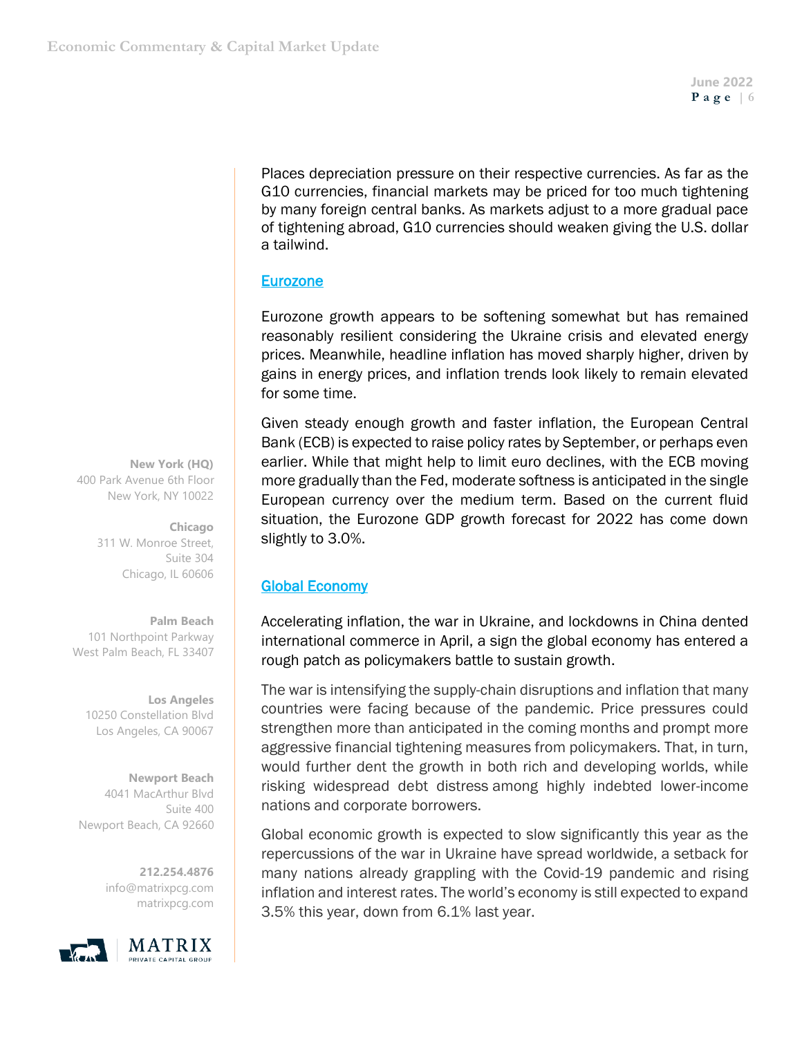**llllllllJune 2022 P a g e | 6**

Places depreciation pressure on their respective currencies. As far as the G10 currencies, financial markets may be priced for too much tightening by many foreign central banks. As markets adjust to a more gradual pace of tightening abroad, G10 currencies should weaken giving the U.S. dollar a tailwind.

### **Eurozone**

Eurozone growth appears to be softening somewhat but has remained reasonably resilient considering the Ukraine crisis and elevated energy prices. Meanwhile, headline inflation has moved sharply higher, driven by gains in energy prices, and inflation trends look likely to remain elevated for some time.

Given steady enough growth and faster inflation, the European Central Bank (ECB) is expected to raise policy rates by September, or perhaps even earlier. While that might help to limit euro declines, with the ECB moving more gradually than the Fed, moderate softness is anticipated in the single European currency over the medium term. Based on the current fluid situation, the Eurozone GDP growth forecast for 2022 has come down slightly to 3.0%.

## Global Economy

Accelerating inflation, the war in Ukraine, and lockdowns in China dented international commerce in April, a sign the global economy has entered a rough patch as policymakers battle to sustain growth.

The war is intensifying the supply-chain disruptions and inflation that many countries were facing because of the pandemic. Price pressures could strengthen more than anticipated in the coming months and prompt more aggressive financial tightening measures from policymakers. That, in turn, would further dent the growth in both rich and developing worlds, while risking widespread debt distress among highly indebted lower-income nations and corporate borrowers.

Global economic growth is expected to slow significantly this year as the repercussions of the war in Ukraine have spread worldwide, a setback for many nations already grappling with the Covid-19 pandemic and rising inflation and interest rates. The world's economy is still expected to expand 3.5% this year, down from 6.1% last year.

**New York (HQ)**  400 Park Avenue 6th Floor New York, NY 10022

### **Chicago**

311 W. Monroe Street, Suite 304 Chicago, IL 60606

**Palm Beach**  101 Northpoint Parkway West Palm Beach, FL 33407

**Los Angeles**  10250 Constellation Blvd Los Angeles, CA 90067

**Newport Beach** 4041 MacArthur Blvd Suite 400 Newport Beach, CA 92660

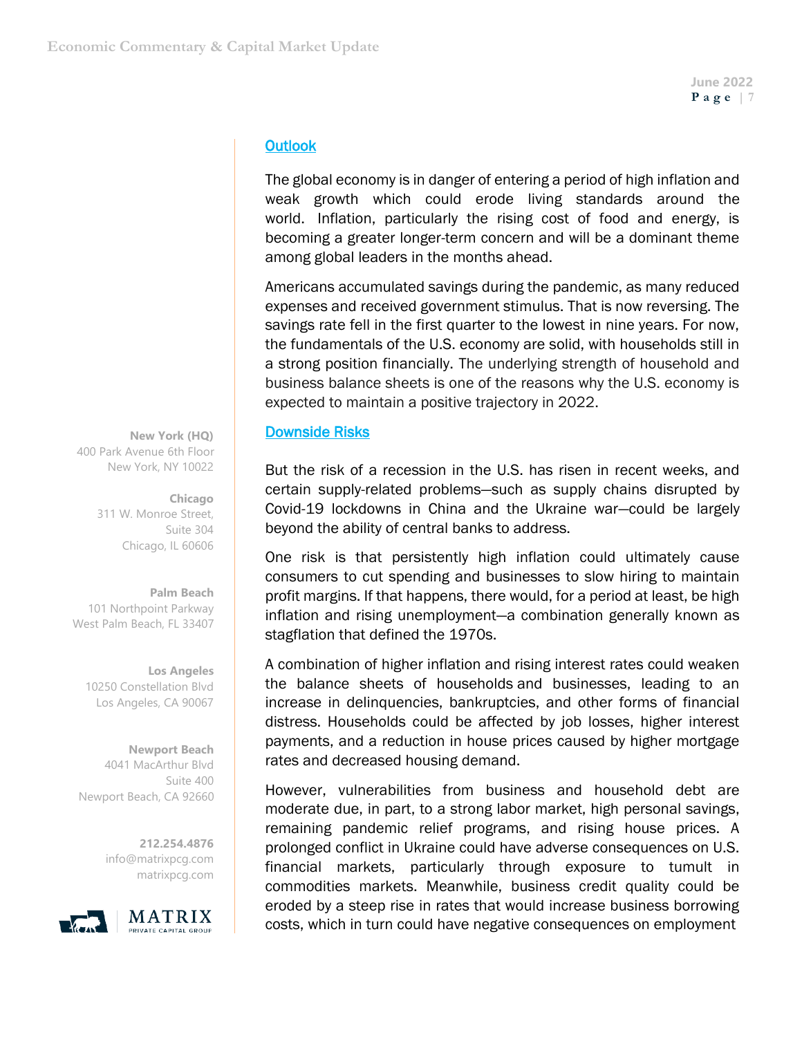### **Outlook**

The global economy is in danger of entering a period of high inflation and weak growth which could erode living standards around the world. Inflation, particularly the rising cost of food and energy, is becoming a greater longer-term concern and will be a dominant theme among global leaders in the months ahead.

Americans accumulated savings during the pandemic, as many reduced expenses and received government stimulus. That is now reversing. The savings rate fell in the first quarter to the lowest in nine years. For now, the fundamentals of the U.S. economy are solid, with households still in a strong position financially. The underlying strength of household and business balance sheets is one of the reasons why the U.S. economy is expected to maintain a positive trajectory in 2022.

### Downside Risks

But the risk of a recession in the U.S. has risen in recent weeks, and certain supply-related problems—such as supply chains disrupted by Covid-19 lockdowns in China and the Ukraine war—could be largely beyond the ability of central banks to address.

One risk is that persistently high inflation could ultimately cause consumers to cut spending and businesses to slow hiring to maintain profit margins. If that happens, there would, for a period at least, be high inflation and rising unemployment—a combination generally known as stagflation that defined the 1970s.

A combination of higher inflation and rising interest rates could weaken the balance sheets of households and businesses, leading to an increase in delinquencies, bankruptcies, and other forms of financial distress. Households could be affected by job losses, higher interest payments, and a reduction in house prices caused by higher mortgage rates and decreased housing demand.

However, vulnerabilities from business and household debt are moderate due, in part, to a strong labor market, high personal savings, remaining pandemic relief programs, and rising house prices. A prolonged conflict in Ukraine could have adverse consequences on U.S. financial markets, particularly through exposure to tumult in commodities markets. Meanwhile, business credit quality could be eroded by a steep rise in rates that would increase business borrowing costs, which in turn could have negative consequences on employment

**New York (HQ)**  400 Park Avenue 6th Floor New York, NY 10022

> **Chicago** 311 W. Monroe Street, Suite 304 Chicago, IL 60606

### **Palm Beach**

101 Northpoint Parkway West Palm Beach, FL 33407

**Los Angeles**  10250 Constellation Blvd Los Angeles, CA 90067

**Newport Beach** 4041 MacArthur Blvd Suite 400 Newport Beach, CA 92660

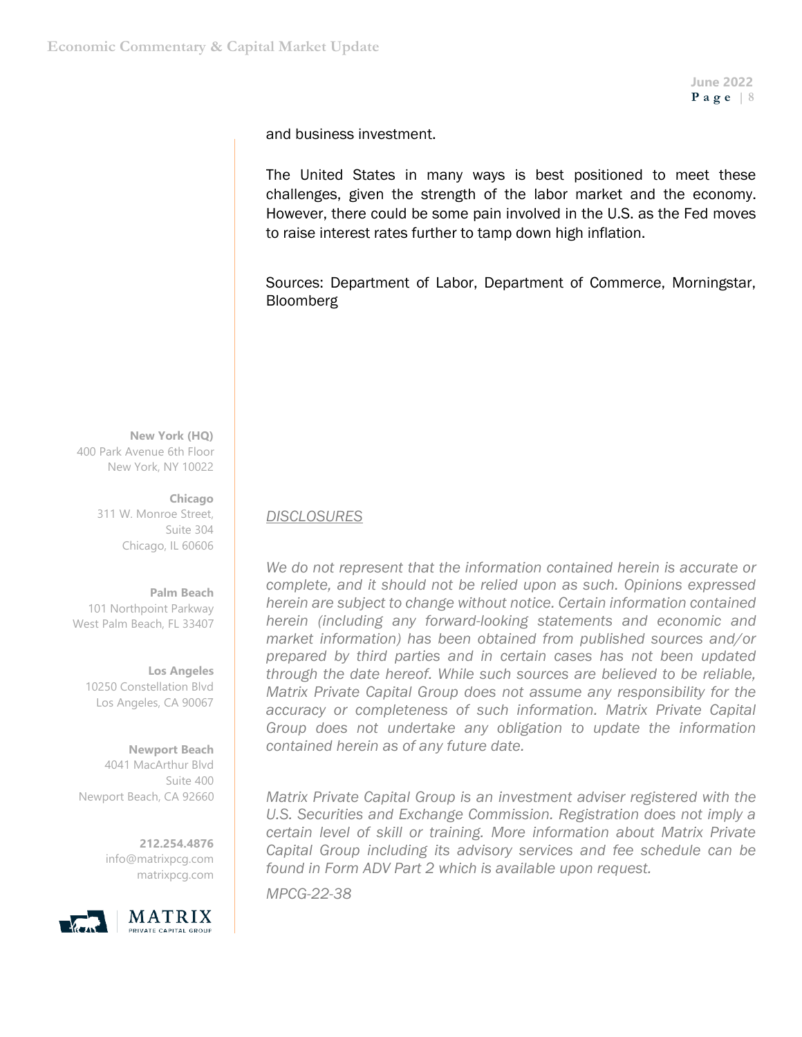and business investment.

The United States in many ways is best positioned to meet these challenges, given the strength of the labor market and the economy. However, there could be some pain involved in the U.S. as the Fed moves to raise interest rates further to tamp down high inflation.

Sources: Department of Labor, Department of Commerce, Morningstar, Bloomberg

**New York (HQ)**  400 Park Avenue 6th Floor New York, NY 10022

> **Chicago** 311 W. Monroe Street, Suite 304 Chicago, IL 60606

#### **Palm Beach**

101 Northpoint Parkway West Palm Beach, FL 33407

**Los Angeles**  10250 Constellation Blvd Los Angeles, CA 90067

### **Newport Beach**

4041 MacArthur Blvd Suite 400 Newport Beach, CA 92660

> **212.254.4876** info@matrixpcg.com matrixpcg.com



## *DISCLOSURES*

*We do not represent that the information contained herein is accurate or complete, and it should not be relied upon as such. Opinions expressed herein are subject to change without notice. Certain information contained herein (including any forward-looking statements and economic and market information) has been obtained from published sources and/or prepared by third parties and in certain cases has not been updated through the date hereof. While such sources are believed to be reliable, Matrix Private Capital Group does not assume any responsibility for the accuracy or completeness of such information. Matrix Private Capital Group does not undertake any obligation to update the information contained herein as of any future date.*

*Matrix Private Capital Group is an investment adviser registered with the U.S. Securities and Exchange Commission. Registration does not imply a certain level of skill or training. More information about Matrix Private Capital Group including its advisory services and fee schedule can be found in Form ADV Part 2 which is available upon request.* 

*MPCG-22-38*